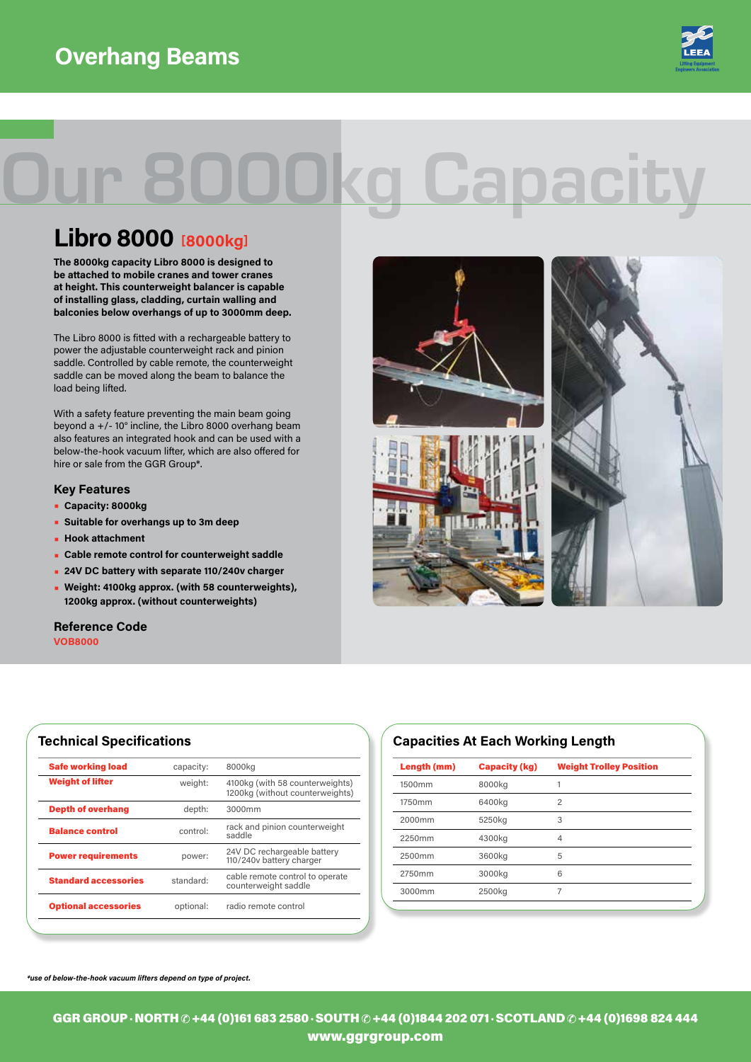

# Our 8000kg Capacity

## **Libro 8000 [8000kg]**

**The 8000kg capacity Libro 8000 is designed to be attached to mobile cranes and tower cranes at height. This counterweight balancer is capable of installing glass, cladding, curtain walling and balconies below overhangs of up to 3000mm deep.**

The Libro 8000 is fitted with a rechargeable battery to power the adjustable counterweight rack and pinion saddle. Controlled by cable remote, the counterweight saddle can be moved along the beam to balance the load being lifted.

With a safety feature preventing the main beam going beyond a +/- 10° incline, the Libro 8000 overhang beam also features an integrated hook and can be used with a below-the-hook vacuum lifter, which are also offered for hire or sale from the GGR Group\*.

#### **Key Features**

- **• Capacity: 8000kg**
- **• Suitable for overhangs up to 3m deep**
- **• Hook attachment**
- **• Cable remote control for counterweight saddle**
- **• 24V DC battery with separate 110/240v charger**
- **• Weight: 4100kg approx. (with 58 counterweights), 1200kg approx. (without counterweights)**

**VOB8000 Reference Code**

| capacity: |                                                                    |
|-----------|--------------------------------------------------------------------|
|           | 8000kg                                                             |
| weight:   | 4100kg (with 58 counterweights)<br>1200kg (without counterweights) |
| depth:    | 3000mm                                                             |
| control:  | rack and pinion counterweight<br>saddle                            |
| power:    | 24V DC rechargeable battery<br>110/240v battery charger            |
| standard: | cable remote control to operate<br>counterweight saddle            |
| optional: | radio remote control                                               |
|           |                                                                    |



### **Technical Specifications Capacities At Each Working Length**

| Length (mm) | <b>Capacity (kg)</b> | <b>Weight Trolley Position</b> |
|-------------|----------------------|--------------------------------|
| 1500mm      | 8000kg               |                                |
| 1750mm      | 6400kg               | $\overline{c}$                 |
| 2000mm      | 5250kg               | 3                              |
| 2250mm      | 4300kg               | $\overline{4}$                 |
| 2500mm      | 3600kg               | 5                              |
| 2750mm      | 3000kg               | 6                              |
| 3000mm      | 2500kg               | 7                              |
|             |                      |                                |

*\*use of below-the-hook vacuum lifters depend on type of project.*